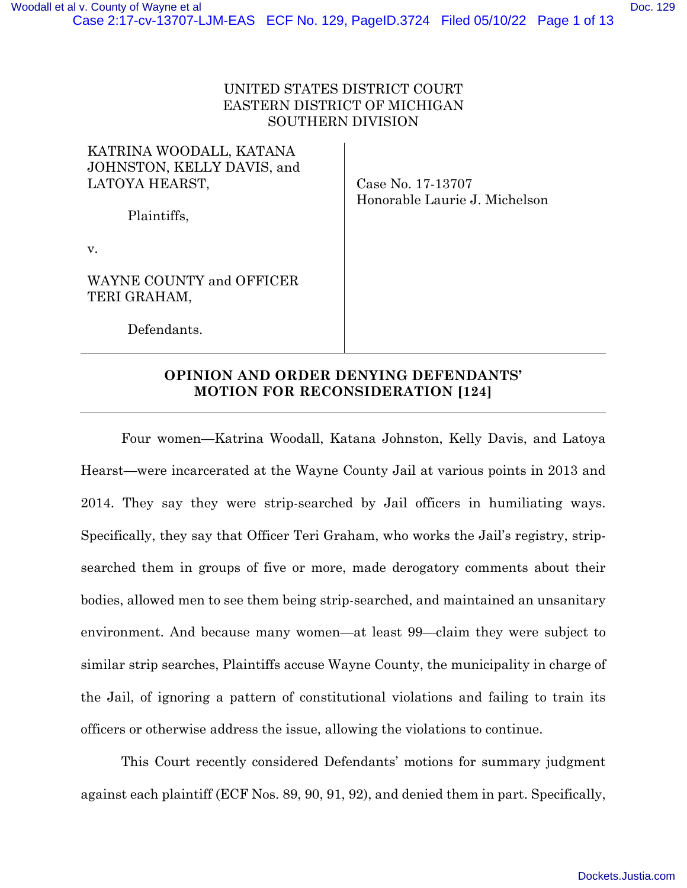| KATRINA WOODALL, KATANA<br>JOHNSTON, KELLY DAVIS, and<br>LATOYA HEARST,<br>Plaintiffs, | Case No. 17-13707<br>Honorable Laurie J. Michelson |
|----------------------------------------------------------------------------------------|----------------------------------------------------|
| v.                                                                                     |                                                    |
| WAYNE COUNTY and OFFICER<br>TERI GRAHAM,                                               |                                                    |
| Defendants.                                                                            |                                                    |
|                                                                                        |                                                    |

# **OPINION AND ORDER DENYING DEFENDANTS' MOTION FOR RECONSIDERATION [124]**

Four women—Katrina Woodall, Katana Johnston, Kelly Davis, and Latoya Hearst—were incarcerated at the Wayne County Jail at various points in 2013 and 2014. They say they were strip-searched by Jail officers in humiliating ways. Specifically, they say that Officer Teri Graham, who works the Jail's registry, stripsearched them in groups of five or more, made derogatory comments about their bodies, allowed men to see them being strip-searched, and maintained an unsanitary environment. And because many women—at least 99—claim they were subject to similar strip searches, Plaintiffs accuse Wayne County, the municipality in charge of the Jail, of ignoring a pattern of constitutional violations and failing to train its officers or otherwise address the issue, allowing the violations to continue.

This Court recently considered Defendants' motions for summary judgment against each plaintiff (ECF Nos. 89, 90, 91, 92), and denied them in part. Specifically,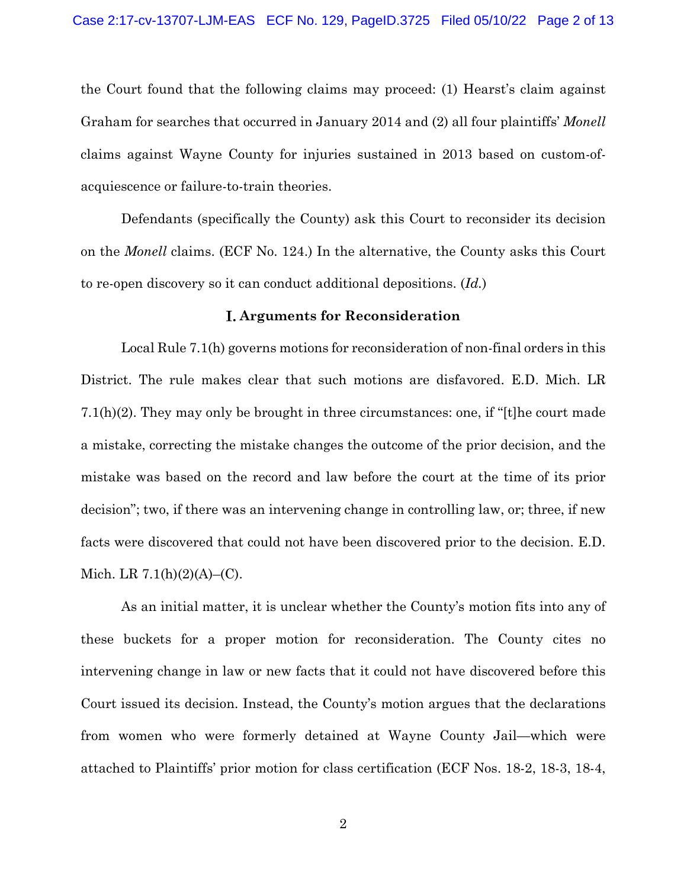the Court found that the following claims may proceed: (1) Hearst's claim against Graham for searches that occurred in January 2014 and (2) all four plaintiffs' *Monell* claims against Wayne County for injuries sustained in 2013 based on custom-ofacquiescence or failure-to-train theories.

Defendants (specifically the County) ask this Court to reconsider its decision on the *Monell* claims. (ECF No. 124.) In the alternative, the County asks this Court to re-open discovery so it can conduct additional depositions. (*Id.*)

## **Arguments for Reconsideration**

Local Rule 7.1(h) governs motions for reconsideration of non-final orders in this District. The rule makes clear that such motions are disfavored. E.D. Mich. LR 7.1(h)(2). They may only be brought in three circumstances: one, if "[t]he court made a mistake, correcting the mistake changes the outcome of the prior decision, and the mistake was based on the record and law before the court at the time of its prior decision"; two, if there was an intervening change in controlling law, or; three, if new facts were discovered that could not have been discovered prior to the decision. E.D. Mich. LR  $7.1(h)(2)(A)$ –(C).

As an initial matter, it is unclear whether the County's motion fits into any of these buckets for a proper motion for reconsideration. The County cites no intervening change in law or new facts that it could not have discovered before this Court issued its decision. Instead, the County's motion argues that the declarations from women who were formerly detained at Wayne County Jail—which were attached to Plaintiffs' prior motion for class certification (ECF Nos. 18-2, 18-3, 18-4,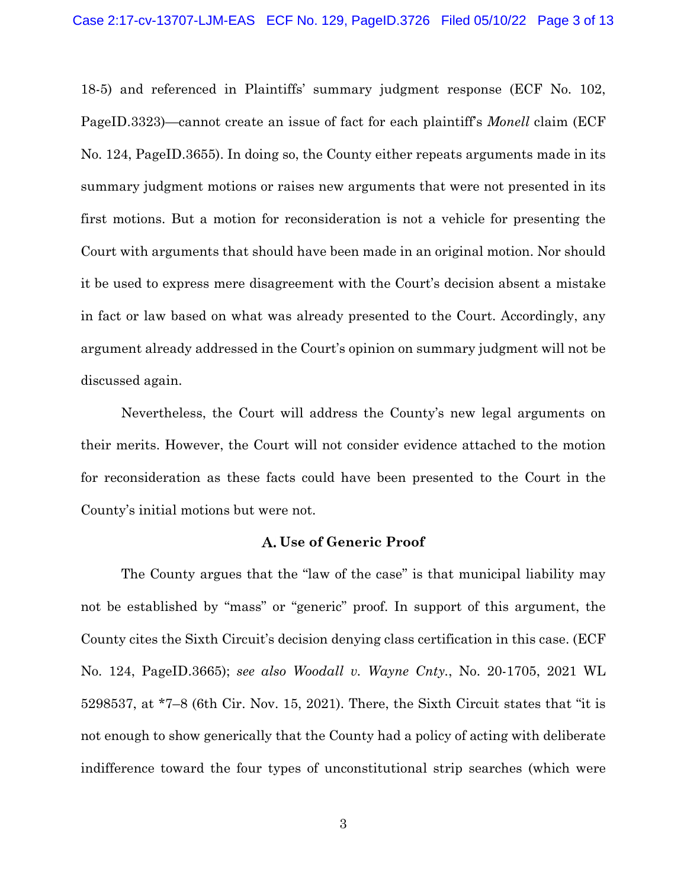18-5) and referenced in Plaintiffs' summary judgment response (ECF No. 102, PageID.3323)—cannot create an issue of fact for each plaintiff's *Monell* claim (ECF No. 124, PageID.3655). In doing so, the County either repeats arguments made in its summary judgment motions or raises new arguments that were not presented in its first motions. But a motion for reconsideration is not a vehicle for presenting the Court with arguments that should have been made in an original motion. Nor should it be used to express mere disagreement with the Court's decision absent a mistake in fact or law based on what was already presented to the Court. Accordingly, any argument already addressed in the Court's opinion on summary judgment will not be discussed again.

Nevertheless, the Court will address the County's new legal arguments on their merits. However, the Court will not consider evidence attached to the motion for reconsideration as these facts could have been presented to the Court in the County's initial motions but were not.

## **Use of Generic Proof**

The County argues that the "law of the case" is that municipal liability may not be established by "mass" or "generic" proof. In support of this argument, the County cites the Sixth Circuit's decision denying class certification in this case. (ECF No. 124, PageID.3665); *see also Woodall v. Wayne Cnty.*, No. 20-1705, 2021 WL 5298537, at \*7–8 (6th Cir. Nov. 15, 2021). There, the Sixth Circuit states that "it is not enough to show generically that the County had a policy of acting with deliberate indifference toward the four types of unconstitutional strip searches (which were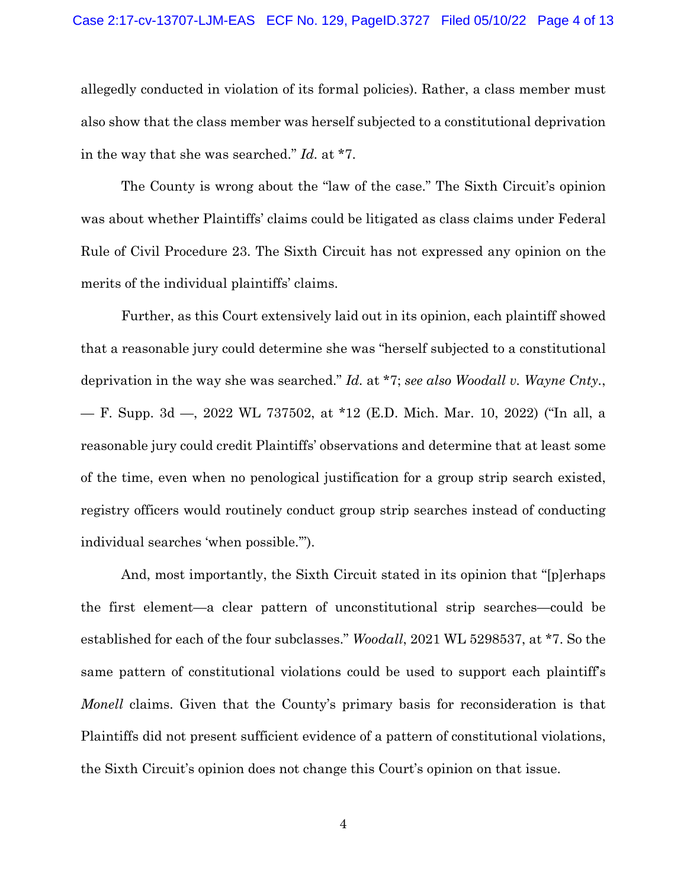allegedly conducted in violation of its formal policies). Rather, a class member must also show that the class member was herself subjected to a constitutional deprivation in the way that she was searched." *Id.* at \*7.

The County is wrong about the "law of the case." The Sixth Circuit's opinion was about whether Plaintiffs' claims could be litigated as class claims under Federal Rule of Civil Procedure 23. The Sixth Circuit has not expressed any opinion on the merits of the individual plaintiffs' claims.

Further, as this Court extensively laid out in its opinion, each plaintiff showed that a reasonable jury could determine she was "herself subjected to a constitutional deprivation in the way she was searched." *Id.* at \*7; *see also Woodall v. Wayne Cnty.*, — F. Supp. 3d —, 2022 WL 737502, at \*12 (E.D. Mich. Mar. 10, 2022) ("In all, a reasonable jury could credit Plaintiffs' observations and determine that at least some of the time, even when no penological justification for a group strip search existed, registry officers would routinely conduct group strip searches instead of conducting individual searches 'when possible.'").

And, most importantly, the Sixth Circuit stated in its opinion that "[p]erhaps the first element—a clear pattern of unconstitutional strip searches—could be established for each of the four subclasses." *Woodall*, 2021 WL 5298537, at \*7. So the same pattern of constitutional violations could be used to support each plaintiff's *Monell* claims. Given that the County's primary basis for reconsideration is that Plaintiffs did not present sufficient evidence of a pattern of constitutional violations, the Sixth Circuit's opinion does not change this Court's opinion on that issue.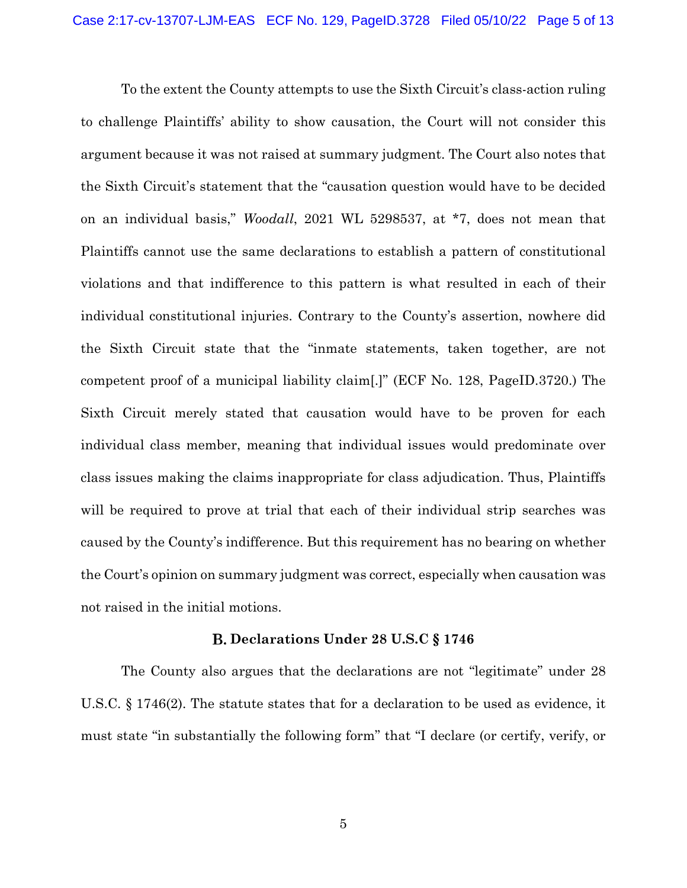To the extent the County attempts to use the Sixth Circuit's class-action ruling to challenge Plaintiffs' ability to show causation, the Court will not consider this argument because it was not raised at summary judgment. The Court also notes that the Sixth Circuit's statement that the "causation question would have to be decided on an individual basis," *Woodall*, 2021 WL 5298537, at \*7, does not mean that Plaintiffs cannot use the same declarations to establish a pattern of constitutional violations and that indifference to this pattern is what resulted in each of their individual constitutional injuries. Contrary to the County's assertion, nowhere did the Sixth Circuit state that the "inmate statements, taken together, are not competent proof of a municipal liability claim[.]" (ECF No. 128, PageID.3720.) The Sixth Circuit merely stated that causation would have to be proven for each individual class member, meaning that individual issues would predominate over class issues making the claims inappropriate for class adjudication. Thus, Plaintiffs will be required to prove at trial that each of their individual strip searches was caused by the County's indifference. But this requirement has no bearing on whether the Court's opinion on summary judgment was correct, especially when causation was not raised in the initial motions.

#### **Declarations Under 28 U.S.C § 1746**

The County also argues that the declarations are not "legitimate" under 28 U.S.C. § 1746(2). The statute states that for a declaration to be used as evidence, it must state "in substantially the following form" that "I declare (or certify, verify, or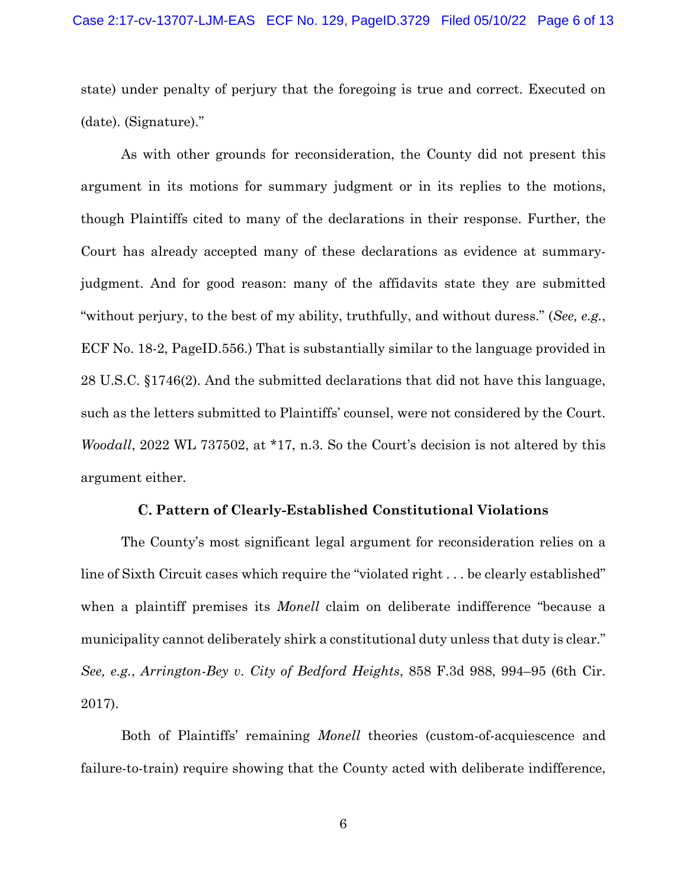state) under penalty of perjury that the foregoing is true and correct. Executed on (date). (Signature)."

As with other grounds for reconsideration, the County did not present this argument in its motions for summary judgment or in its replies to the motions, though Plaintiffs cited to many of the declarations in their response. Further, the Court has already accepted many of these declarations as evidence at summaryjudgment. And for good reason: many of the affidavits state they are submitted "without perjury, to the best of my ability, truthfully, and without duress." (*See, e.g.*, ECF No. 18-2, PageID.556.) That is substantially similar to the language provided in 28 U.S.C. §1746(2). And the submitted declarations that did not have this language, such as the letters submitted to Plaintiffs' counsel, were not considered by the Court. *Woodall*, 2022 WL 737502, at \*17, n.3. So the Court's decision is not altered by this argument either.

## **Pattern of Clearly-Established Constitutional Violations**

The County's most significant legal argument for reconsideration relies on a line of Sixth Circuit cases which require the "violated right . . . be clearly established" when a plaintiff premises its *Monell* claim on deliberate indifference "because a municipality cannot deliberately shirk a constitutional duty unless that duty is clear." *See, e.g.*, *Arrington-Bey v. City of Bedford Heights*, 858 F.3d 988, 994–95 (6th Cir. 2017).

Both of Plaintiffs' remaining *Monell* theories (custom-of-acquiescence and failure-to-train) require showing that the County acted with deliberate indifference,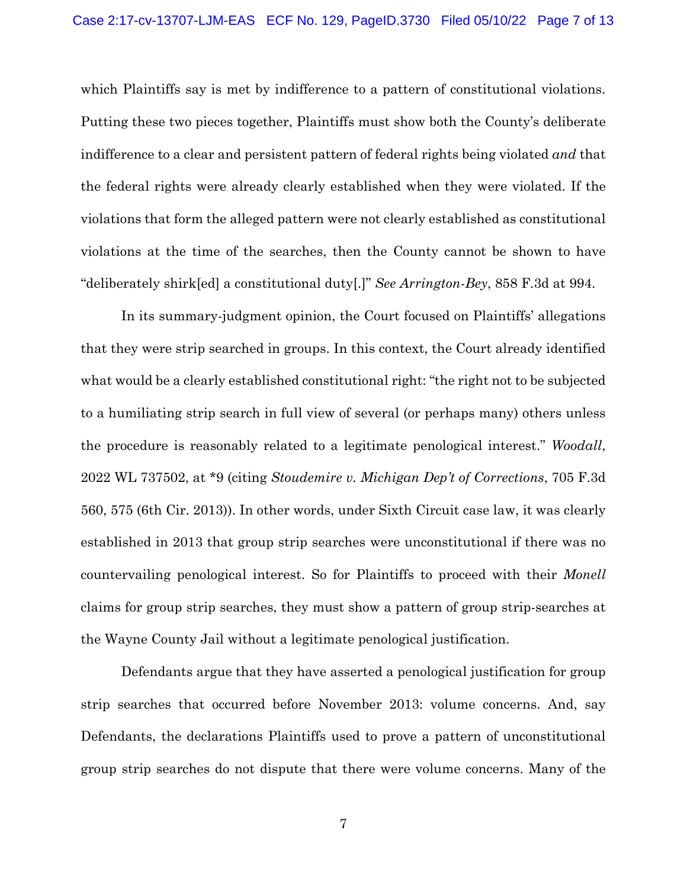which Plaintiffs say is met by indifference to a pattern of constitutional violations. Putting these two pieces together, Plaintiffs must show both the County's deliberate indifference to a clear and persistent pattern of federal rights being violated *and* that the federal rights were already clearly established when they were violated. If the violations that form the alleged pattern were not clearly established as constitutional violations at the time of the searches, then the County cannot be shown to have "deliberately shirk[ed] a constitutional duty[.]" *See Arrington-Bey*, 858 F.3d at 994.

In its summary-judgment opinion, the Court focused on Plaintiffs' allegations that they were strip searched in groups. In this context, the Court already identified what would be a clearly established constitutional right: "the right not to be subjected to a humiliating strip search in full view of several (or perhaps many) others unless the procedure is reasonably related to a legitimate penological interest." *Woodall*, 2022 WL 737502, at \*9 (citing *Stoudemire v. Michigan Dep't of Corrections*, 705 F.3d 560, 575 (6th Cir. 2013)). In other words, under Sixth Circuit case law, it was clearly established in 2013 that group strip searches were unconstitutional if there was no countervailing penological interest. So for Plaintiffs to proceed with their *Monell* claims for group strip searches, they must show a pattern of group strip-searches at the Wayne County Jail without a legitimate penological justification.

Defendants argue that they have asserted a penological justification for group strip searches that occurred before November 2013: volume concerns. And, say Defendants, the declarations Plaintiffs used to prove a pattern of unconstitutional group strip searches do not dispute that there were volume concerns. Many of the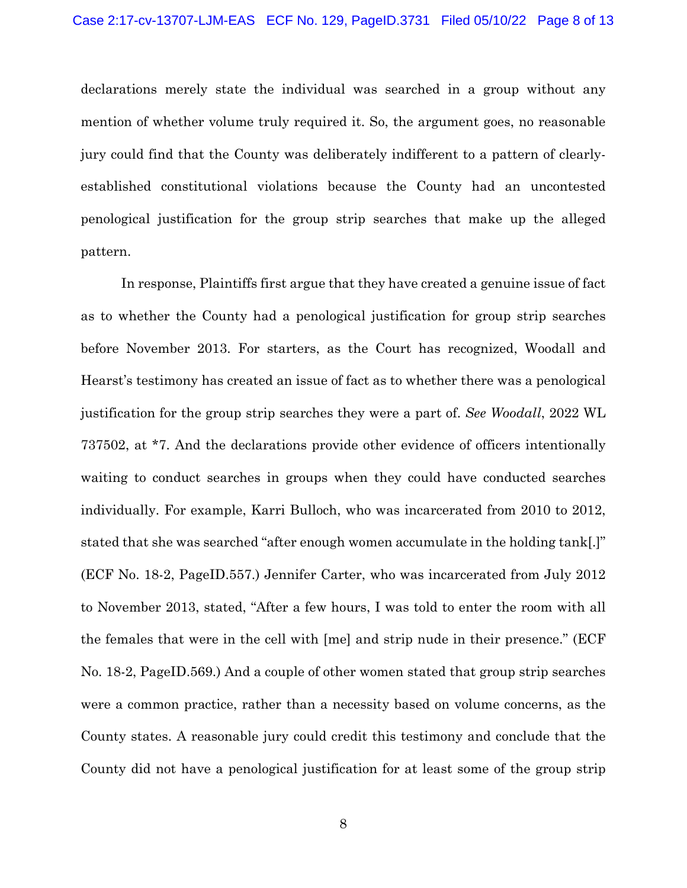declarations merely state the individual was searched in a group without any mention of whether volume truly required it. So, the argument goes, no reasonable jury could find that the County was deliberately indifferent to a pattern of clearlyestablished constitutional violations because the County had an uncontested penological justification for the group strip searches that make up the alleged pattern.

In response, Plaintiffs first argue that they have created a genuine issue of fact as to whether the County had a penological justification for group strip searches before November 2013. For starters, as the Court has recognized, Woodall and Hearst's testimony has created an issue of fact as to whether there was a penological justification for the group strip searches they were a part of. *See Woodall*, 2022 WL 737502, at \*7. And the declarations provide other evidence of officers intentionally waiting to conduct searches in groups when they could have conducted searches individually. For example, Karri Bulloch, who was incarcerated from 2010 to 2012, stated that she was searched "after enough women accumulate in the holding tank[.]" (ECF No. 18-2, PageID.557.) Jennifer Carter, who was incarcerated from July 2012 to November 2013, stated, "After a few hours, I was told to enter the room with all the females that were in the cell with [me] and strip nude in their presence." (ECF No. 18-2, PageID.569.) And a couple of other women stated that group strip searches were a common practice, rather than a necessity based on volume concerns, as the County states. A reasonable jury could credit this testimony and conclude that the County did not have a penological justification for at least some of the group strip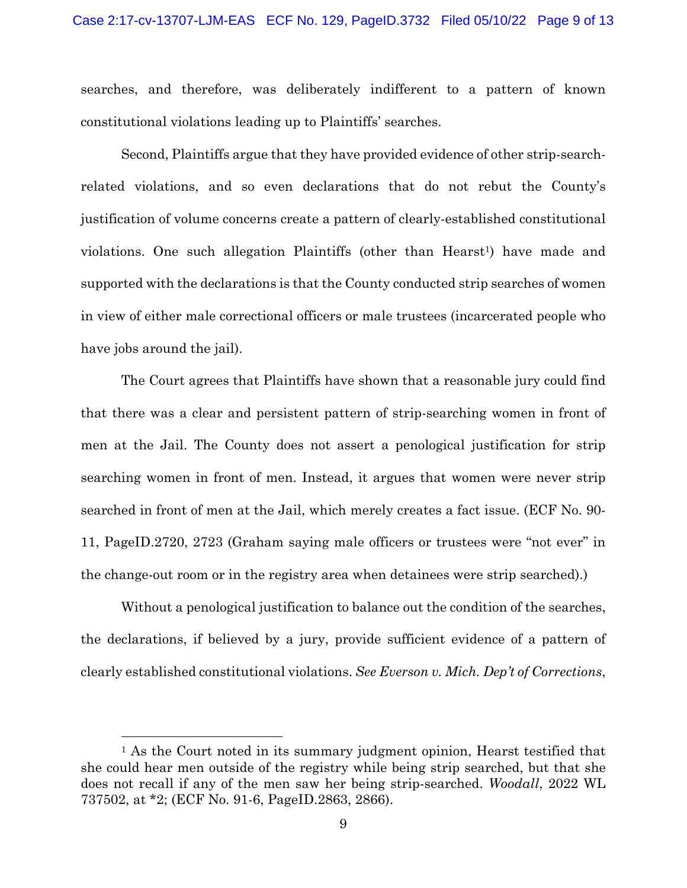searches, and therefore, was deliberately indifferent to a pattern of known constitutional violations leading up to Plaintiffs' searches.

Second, Plaintiffs argue that they have provided evidence of other strip-searchrelated violations, and so even declarations that do not rebut the County's justification of volume concerns create a pattern of clearly-established constitutional violations. One such allegation Plaintiffs (other than Hearst<sup>1</sup>) have made and supported with the declarations is that the County conducted strip searches of women in view of either male correctional officers or male trustees (incarcerated people who have jobs around the jail).

The Court agrees that Plaintiffs have shown that a reasonable jury could find that there was a clear and persistent pattern of strip-searching women in front of men at the Jail. The County does not assert a penological justification for strip searching women in front of men. Instead, it argues that women were never strip searched in front of men at the Jail, which merely creates a fact issue. (ECF No. 90- 11, PageID.2720, 2723 (Graham saying male officers or trustees were "not ever" in the change-out room or in the registry area when detainees were strip searched).)

Without a penological justification to balance out the condition of the searches, the declarations, if believed by a jury, provide sufficient evidence of a pattern of clearly established constitutional violations. *See Everson v. Mich. Dep't of Corrections*,

<sup>1</sup> As the Court noted in its summary judgment opinion, Hearst testified that she could hear men outside of the registry while being strip searched, but that she does not recall if any of the men saw her being strip-searched. *Woodall*, 2022 WL 737502, at \*2; (ECF No. 91-6, PageID.2863, 2866).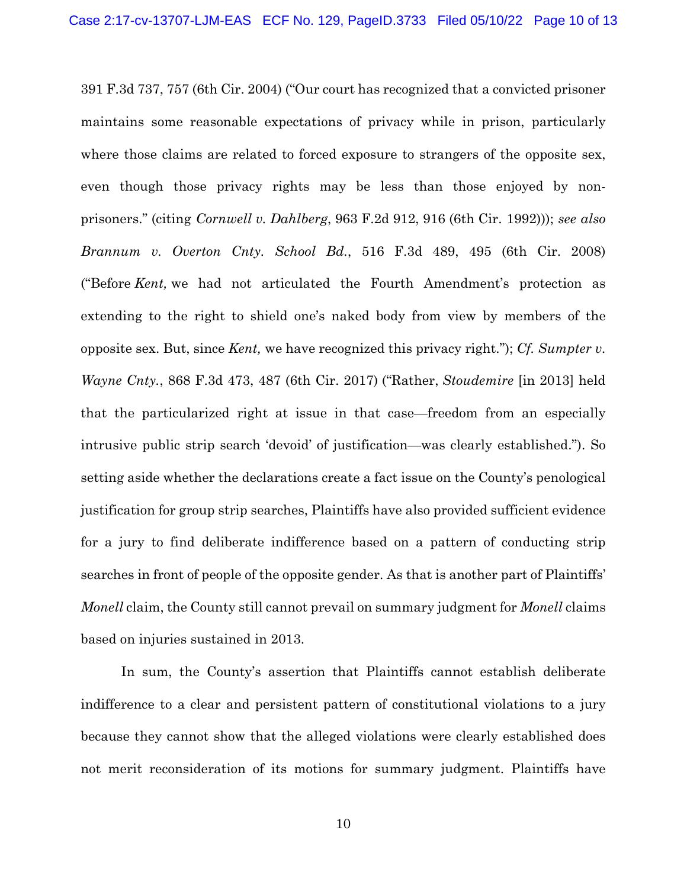391 F.3d 737, 757 (6th Cir. 2004) ("Our court has recognized that a convicted prisoner maintains some reasonable expectations of privacy while in prison, particularly where those claims are related to forced exposure to strangers of the opposite sex, even though those privacy rights may be less than those enjoyed by nonprisoners." (citing *Cornwell v. Dahlberg*, 963 F.2d 912, 916 (6th Cir. 1992))); *see also Brannum v. Overton Cnty. School Bd.*, 516 F.3d 489, 495 (6th Cir. 2008) ("Before *Kent,* we had not articulated the Fourth Amendment's protection as extending to the right to shield one's naked body from view by members of the opposite sex. But, since *Kent,* we have recognized this privacy right."); *Cf. Sumpter v. Wayne Cnty.*, 868 F.3d 473, 487 (6th Cir. 2017) ("Rather, *Stoudemire* [in 2013] held that the particularized right at issue in that case—freedom from an especially intrusive public strip search 'devoid' of justification—was clearly established."). So setting aside whether the declarations create a fact issue on the County's penological justification for group strip searches, Plaintiffs have also provided sufficient evidence for a jury to find deliberate indifference based on a pattern of conducting strip searches in front of people of the opposite gender. As that is another part of Plaintiffs' *Monell* claim, the County still cannot prevail on summary judgment for *Monell* claims based on injuries sustained in 2013.

In sum, the County's assertion that Plaintiffs cannot establish deliberate indifference to a clear and persistent pattern of constitutional violations to a jury because they cannot show that the alleged violations were clearly established does not merit reconsideration of its motions for summary judgment. Plaintiffs have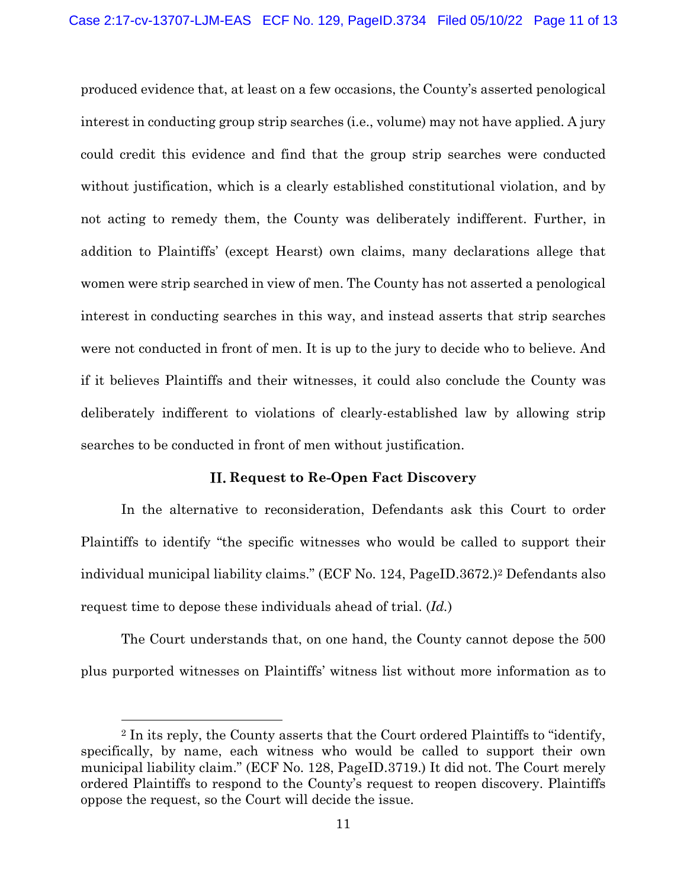produced evidence that, at least on a few occasions, the County's asserted penological interest in conducting group strip searches (i.e., volume) may not have applied. A jury could credit this evidence and find that the group strip searches were conducted without justification, which is a clearly established constitutional violation, and by not acting to remedy them, the County was deliberately indifferent. Further, in addition to Plaintiffs' (except Hearst) own claims, many declarations allege that women were strip searched in view of men. The County has not asserted a penological interest in conducting searches in this way, and instead asserts that strip searches were not conducted in front of men. It is up to the jury to decide who to believe. And if it believes Plaintiffs and their witnesses, it could also conclude the County was deliberately indifferent to violations of clearly-established law by allowing strip searches to be conducted in front of men without justification.

# **Request to Re-Open Fact Discovery**

In the alternative to reconsideration, Defendants ask this Court to order Plaintiffs to identify "the specific witnesses who would be called to support their individual municipal liability claims." (ECF No. 124, PageID.3672.)2 Defendants also request time to depose these individuals ahead of trial. (*Id.*)

The Court understands that, on one hand, the County cannot depose the 500 plus purported witnesses on Plaintiffs' witness list without more information as to

<sup>2</sup> In its reply, the County asserts that the Court ordered Plaintiffs to "identify, specifically, by name, each witness who would be called to support their own municipal liability claim." (ECF No. 128, PageID.3719.) It did not. The Court merely ordered Plaintiffs to respond to the County's request to reopen discovery. Plaintiffs oppose the request, so the Court will decide the issue.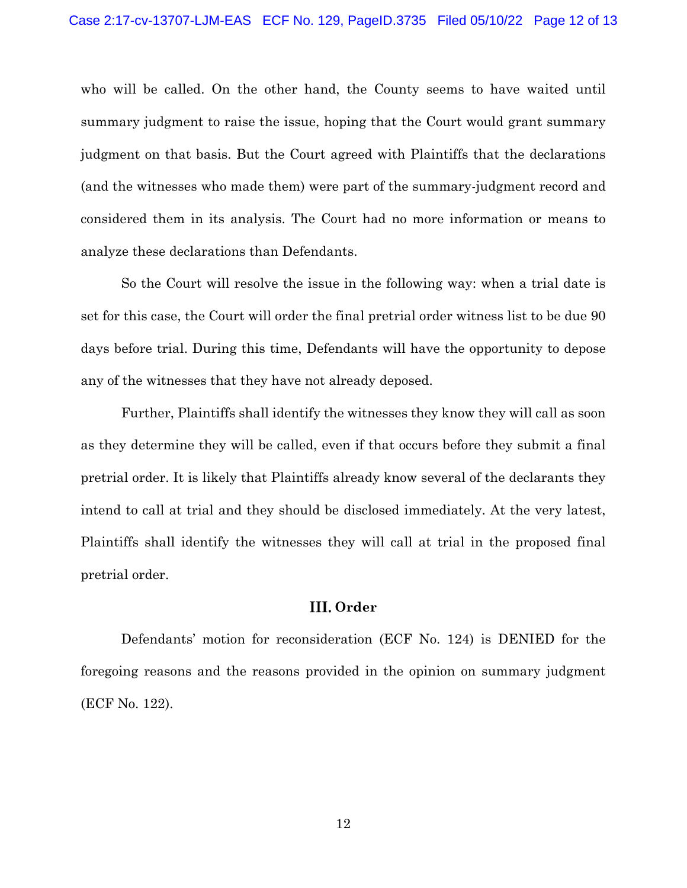who will be called. On the other hand, the County seems to have waited until summary judgment to raise the issue, hoping that the Court would grant summary judgment on that basis. But the Court agreed with Plaintiffs that the declarations (and the witnesses who made them) were part of the summary-judgment record and considered them in its analysis. The Court had no more information or means to analyze these declarations than Defendants.

So the Court will resolve the issue in the following way: when a trial date is set for this case, the Court will order the final pretrial order witness list to be due 90 days before trial. During this time, Defendants will have the opportunity to depose any of the witnesses that they have not already deposed.

Further, Plaintiffs shall identify the witnesses they know they will call as soon as they determine they will be called, even if that occurs before they submit a final pretrial order. It is likely that Plaintiffs already know several of the declarants they intend to call at trial and they should be disclosed immediately. At the very latest, Plaintiffs shall identify the witnesses they will call at trial in the proposed final pretrial order.

# III. Order

Defendants' motion for reconsideration (ECF No. 124) is DENIED for the foregoing reasons and the reasons provided in the opinion on summary judgment (ECF No. 122).